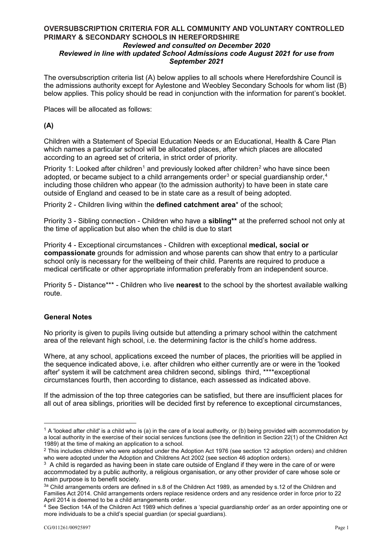# **OVERSUBSCRIPTION CRITERIA FOR ALL COMMUNITY AND VOLUNTARY CONTROLLED PRIMARY & SECONDARY SCHOOLS IN HEREFORDSHIRE**

#### *Reviewed and consulted on December 2020 Reviewed in line with updated School Admissions code August 2021 for use from September 2021*

The oversubscription criteria list (A) below applies to all schools where Herefordshire Council is the admissions authority except for Aylestone and Weobley Secondary Schools for whom list (B) below applies. This policy should be read in conjunction with the information for parent's booklet.

Places will be allocated as follows:

# **(A)**

Children with a Statement of Special Education Needs or an Educational, Health & Care Plan which names a particular school will be allocated places, after which places are allocated according to an agreed set of criteria, in strict order of priority.

Priority 1: Looked after children<sup>1</sup> and previously looked after children<sup>2</sup> who have since been adopted, or became subject to a child arrangements order<sup>3</sup> or special guardianship order,<sup>4</sup> including those children who appear (to the admission authority) to have been in state care outside of England and ceased to be in state care as a result of being adopted.

Priority 2 - Children living within the **defined catchment area**\* of the school;

 Priority 3 - Sibling connection - Children who have a **sibling\*\*** at the preferred school not only at the time of application but also when the child is due to start

medical certificate or other appropriate information preferably from an independent source. Priority 4 - Exceptional circumstances - Children with exceptional **medical, social or compassionate** grounds for admission and whose parents can show that entry to a particular school only is necessary for the wellbeing of their child. Parents are required to produce a

Priority 5 - Distance\*\*\* - Children who live **nearest** to the school by the shortest available walking route.

## **General Notes**

No priority is given to pupils living outside but attending a primary school within the catchment area of the relevant high school, i.e. the determining factor is the child's home address.

circumstances fourth, then according to distance, each assessed as indicated above. Where, at any school, applications exceed the number of places, the priorities will be applied in the sequence indicated above, i.e. after children who either currently are or were in the 'looked after' system it will be catchment area children second, siblings third, \*\*\*\*exceptional

If the admission of the top three categories can be satisfied, but there are insufficient places for all out of area siblings, priorities will be decided first by reference to exceptional circumstances,

-

<span id="page-0-0"></span><sup>1989)</sup> at the time of making an application to a school.  $1$  A 'looked after child' is a child who is (a) in the care of a local authority, or (b) being provided with accommodation by a local authority in the exercise of their social services functions (see the definition in Section 22(1) of the Children Act

<span id="page-0-1"></span>who were adopted under the Adoption and Childrens Act 2002 (see section 46 adoption orders).  $2$  This includes children who were adopted under the Adoption Act 1976 (see section 12 adoption orders) and children

who were adopted under the Adoption and Childrens Act 2002 (see section 46 adoption orders).<br><sup>3</sup> A child is regarded as having been in state care outside of England if they were in the care of or were main purpose is to benefit society. accommodated by a public authority, a religious organisation, or any other provider of care whose sole or

<span id="page-0-2"></span>April 2014 is deemed to be a child arrangements order. 3a Child arrangements orders are defined in s.8 of the Children Act 1989, as amended by s.12 of the Children and Families Act 2014. Child arrangements orders replace residence orders and any residence order in force prior to 22

<span id="page-0-3"></span> more individuals to be a child's special guardian (or special guardians).  $4$  See Section 14A of the Children Act 1989 which defines a 'special guardianship order' as an order appointing one or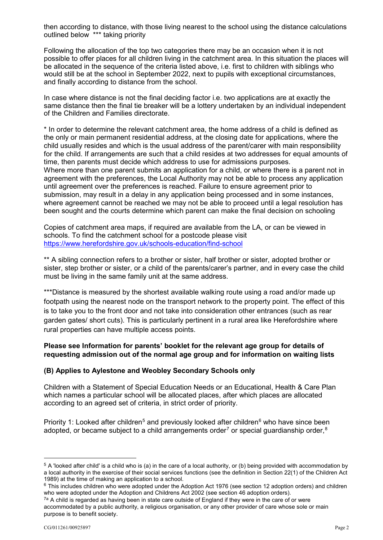outlined below \*\*\* taking priority then according to distance, with those living nearest to the school using the distance calculations

Following the allocation of the top two categories there may be an occasion when it is not possible to offer places for all children living in the catchment area. In this situation the places will be allocated in the sequence of the criteria listed above, i.e. first to children with siblings who would still be at the school in September 2022, next to pupils with exceptional circumstances, and finally according to distance from the school.

In case where distance is not the final deciding factor i.e. two applications are at exactly the same distance then the final tie breaker will be a lottery undertaken by an individual independent of the Children and Families directorate.

\* In order to determine the relevant catchment area, the home address of a child is defined as the only or main permanent residential address, at the closing date for applications, where the child usually resides and which is the usual address of the parent/carer with main responsibility for the child. If arrangements are such that a child resides at two addresses for equal amounts of time, then parents must decide which address to use for admissions purposes. Where more than one parent submits an application for a child, or where there is a parent not in agreement with the preferences, the Local Authority may not be able to process any application until agreement over the preferences is reached. Failure to ensure agreement prior to submission, may result in a delay in any application being processed and in some instances, where agreement cannot be reached we may not be able to proceed until a legal resolution has been sought and the courts determine which parent can make the final decision on schooling

Copies of catchment area maps, if required are available from the LA, or can be viewed in schools. To find the catchment school for a postcode please visit <https://www.herefordshire.gov.uk/schools-education/find-school>

\*\* A sibling connection refers to a brother or sister, half brother or sister, adopted brother or sister, step brother or sister, or a child of the parents/carer's partner, and in every case the child must be living in the same family unit at the same address.

 is to take you to the front door and not take into consideration other entrances (such as rear \*\*\*Distance is measured by the shortest available walking route using a road and/or made up footpath using the nearest node on the transport network to the property point. The effect of this garden gates/ short cuts). This is particularly pertinent in a rural area like Herefordshire where rural properties can have multiple access points.

# **Please see Information for parents' booklet for the relevant age group for details of requesting admission out of the normal age group and for information on waiting lists**

## **(B) Applies to Aylestone and Weobley Secondary Schools only**

Children with a Statement of Special Education Needs or an Educational, Health & Care Plan which names a particular school will be allocated places, after which places are allocated according to an agreed set of criteria, in strict order of priority.

Priority 1: Looked after children<sup>5</sup> and previously looked after children<sup>6</sup> who have since been adopted, or became subject to a child arrangements order<sup>7</sup> or special guardianship order, $8$ 

<u>.</u>

<span id="page-1-0"></span><sup>1989)</sup> at the time of making an application to a school.  $5$  A 'looked after child' is a child who is (a) in the care of a local authority, or (b) being provided with accommodation by a local authority in the exercise of their social services functions (see the definition in Section 22(1) of the Children Act

<span id="page-1-2"></span><span id="page-1-1"></span> $6$  This includes children who were adopted under the Adoption Act 1976 (see section 12 adoption orders) and children who were adopted under the Adoption and Childrens Act 2002 (see section 46 adoption orders).

<span id="page-1-3"></span> $^{7\text{a}}$  A child is regarded as having been in state care outside of England if they were in the care of or were accommodated by a public authority, a religious organisation, or any other provider of care whose sole or main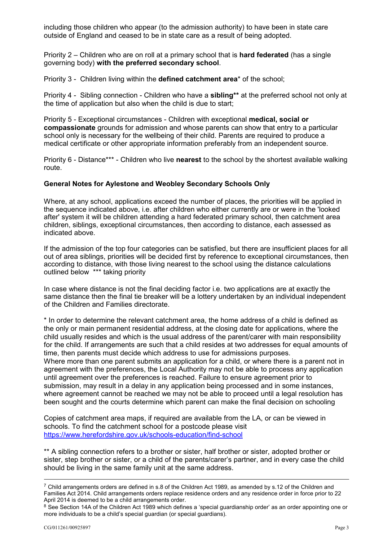including those children who appear (to the admission authority) to have been in state care outside of England and ceased to be in state care as a result of being adopted.

Priority 2 – Children who are on roll at a primary school that is **hard federated** (has a single governing body) **with the preferred secondary school**.

Priority 3 - Children living within the **defined catchment area**\* of the school;

 Priority 4 - Sibling connection - Children who have a **sibling\*\*** at the preferred school not only at the time of application but also when the child is due to start;

 Priority 5 - Exceptional circumstances - Children with exceptional **medical, social or**  medical certificate or other appropriate information preferably from an independent source. **compassionate** grounds for admission and whose parents can show that entry to a particular school only is necessary for the wellbeing of their child. Parents are required to produce a

Priority 6 - Distance\*\*\* - Children who live **nearest** to the school by the shortest available walking route.

#### **General Notes for Aylestone and Weobley Secondary Schools Only**

indicated above. Where, at any school, applications exceed the number of places, the priorities will be applied in the sequence indicated above, i.e. after children who either currently are or were in the 'looked after' system it will be children attending a hard federated primary school, then catchment area children, siblings, exceptional circumstances, then according to distance, each assessed as

 out of area siblings, priorities will be decided first by reference to exceptional circumstances, then If the admission of the top four categories can be satisfied, but there are insufficient places for all according to distance, with those living nearest to the school using the distance calculations outlined below \*\*\* taking priority

In case where distance is not the final deciding factor i.e. two applications are at exactly the same distance then the final tie breaker will be a lottery undertaken by an individual independent of the Children and Families directorate.

\* In order to determine the relevant catchment area, the home address of a child is defined as the only or main permanent residential address, at the closing date for applications, where the child usually resides and which is the usual address of the parent/carer with main responsibility for the child. If arrangements are such that a child resides at two addresses for equal amounts of time, then parents must decide which address to use for admissions purposes. Where more than one parent submits an application for a child, or where there is a parent not in agreement with the preferences, the Local Authority may not be able to process any application until agreement over the preferences is reached. Failure to ensure agreement prior to submission, may result in a delay in any application being processed and in some instances, where agreement cannot be reached we may not be able to proceed until a legal resolution has been sought and the courts determine which parent can make the final decision on schooling

Copies of catchment area maps, if required are available from the LA, or can be viewed in schools. To find the catchment school for a postcode please visit <https://www.herefordshire.gov.uk/schools-education/find-school>

\*\* A sibling connection refers to a brother or sister, half brother or sister, adopted brother or sister, step brother or sister, or a child of the parents/carer's partner, and in every case the child should be living in the same family unit at the same address.

<u>.</u>

April 2014 is deemed to be a child arrangements order.  $7$  Child arrangements orders are defined in s.8 of the Children Act 1989, as amended by s.12 of the Children and Families Act 2014. Child arrangements orders replace residence orders and any residence order in force prior to 22

 more individuals to be a child's special guardian (or special guardians). <sup>8</sup> See Section 14A of the Children Act 1989 which defines a 'special guardianship order' as an order appointing one or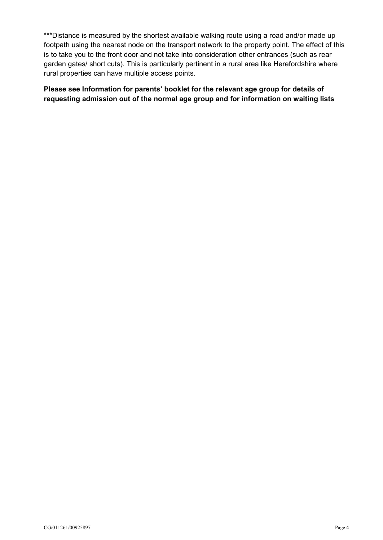is to take you to the front door and not take into consideration other entrances (such as rear \*\*\*Distance is measured by the shortest available walking route using a road and/or made up footpath using the nearest node on the transport network to the property point. The effect of this garden gates/ short cuts). This is particularly pertinent in a rural area like Herefordshire where rural properties can have multiple access points.

 **requesting admission out of the normal age group and for information on waiting lists Please see Information for parents' booklet for the relevant age group for details of**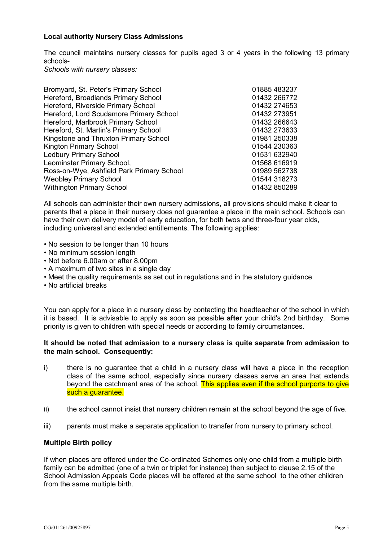#### **Local authority Nursery Class Admissions**

 The council maintains nursery classes for pupils aged 3 or 4 years in the following 13 primary schools-

*Schools with nursery classes:* 

| Bromyard, St. Peter's Primary School      | 01885 483237 |
|-------------------------------------------|--------------|
| Hereford, Broadlands Primary School       | 01432 266772 |
| Hereford, Riverside Primary School        | 01432 274653 |
| Hereford, Lord Scudamore Primary School   | 01432 273951 |
| Hereford, Marlbrook Primary School        | 01432 266643 |
| Hereford, St. Martin's Primary School     | 01432 273633 |
| Kingstone and Thruxton Primary School     | 01981 250338 |
| <b>Kington Primary School</b>             | 01544 230363 |
| <b>Ledbury Primary School</b>             | 01531 632940 |
| Leominster Primary School,                | 01568 616919 |
| Ross-on-Wye, Ashfield Park Primary School | 01989 562738 |
| <b>Weobley Primary School</b>             | 01544 318273 |
| <b>Withington Primary School</b>          | 01432 850289 |
|                                           |              |

All schools can administer their own nursery admissions, all provisions should make it clear to parents that a place in their nursery does not guarantee a place in the main school. Schools can have their own delivery model of early education, for both twos and three-four year olds, including universal and extended entitlements. The following applies:

- No session to be longer than 10 hours
- No minimum session length
- Not before 6.00am or after 8.00pm
- A maximum of two sites in a single day
- Meet the quality requirements as set out in regulations and in the statutory guidance
- No artificial breaks

 You can apply for a place in a nursery class by contacting the headteacher of the school in which it is based. It is advisable to apply as soon as possible **after** your child's 2nd birthday. Some priority is given to children with special needs or according to family circumstances.

## **It should be noted that admission to a nursery class is quite separate from admission to the main school. Consequently:**

- class of the same school, especially since nursery classes serve an area that extends i) there is no guarantee that a child in a nursery class will have a place in the reception beyond the catchment area of the school. This applies even if the school purports to give such a guarantee.
- ii) the school cannot insist that nursery children remain at the school beyond the age of five.
- iii) parents must make a separate application to transfer from nursery to primary school.

## **Multiple Birth policy**

If when places are offered under the Co-ordinated Schemes only one child from a multiple birth family can be admitted (one of a twin or triplet for instance) then subject to clause 2.15 of the School Admission Appeals Code places will be offered at the same school to the other children from the same multiple birth.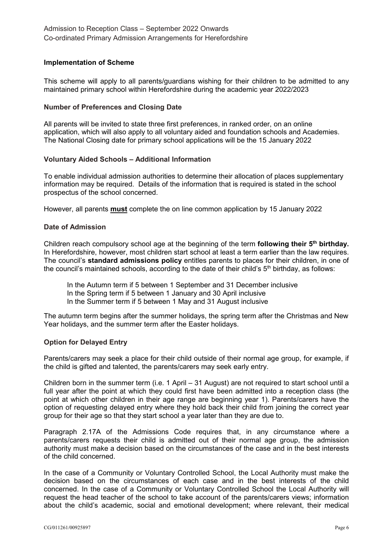## **Implementation of Scheme**

 This scheme will apply to all parents/guardians wishing for their children to be admitted to any maintained primary school within Herefordshire during the academic year 2022/2023

### **Number of Preferences and Closing Date**

application, which will also apply to all voluntary aided and foundation schools and Academies. All parents will be invited to state three first preferences, in ranked order, on an online The National Closing date for primary school applications will be the 15 January 2022

#### **Voluntary Aided Schools – Additional Information**

To enable individual admission authorities to determine their allocation of places supplementary information may be required. Details of the information that is required is stated in the school prospectus of the school concerned.

However, all parents <mark>must</mark> complete the on line common application by 15 January 2022

#### **Date of Admission**

 Children reach compulsory school age at the beginning of the term **following their 5th birthday.**  In Herefordshire, however, most children start school at least a term earlier than the law requires. The council's **standard admissions policy** entitles parents to places for their children, in one of the council's maintained schools, according to the date of their child's  $5<sup>th</sup>$  birthday, as follows:

In the Autumn term if 5 between 1 September and 31 December inclusive

- In the Spring term if 5 between 1 January and 30 April inclusive
- In the Summer term if 5 between 1 May and 31 August inclusive

The autumn term begins after the summer holidays, the spring term after the Christmas and New Year holidays, and the summer term after the Easter holidays.

#### **Option for Delayed Entry**

Parents/carers may seek a place for their child outside of their normal age group, for example, if the child is gifted and talented, the parents/carers may seek early entry.

 Children born in the summer term (i.e. 1 April – 31 August) are not required to start school until a full year after the point at which they could first have been admitted into a reception class (the point at which other children in their age range are beginning year 1). Parents/carers have the option of requesting delayed entry where they hold back their child from joining the correct year group for their age so that they start school a year later than they are due to.

 Paragraph 2.17A of the Admissions Code requires that, in any circumstance where a parents/carers requests their child is admitted out of their normal age group, the admission authority must make a decision based on the circumstances of the case and in the best interests of the child concerned.

 In the case of a Community or Voluntary Controlled School, the Local Authority must make the concerned. In the case of a Community or Voluntary Controlled School the Local Authority will request the head teacher of the school to take account of the parents/carers views; information about the child's academic, social and emotional development; where relevant, their medical decision based on the circumstances of each case and in the best interests of the child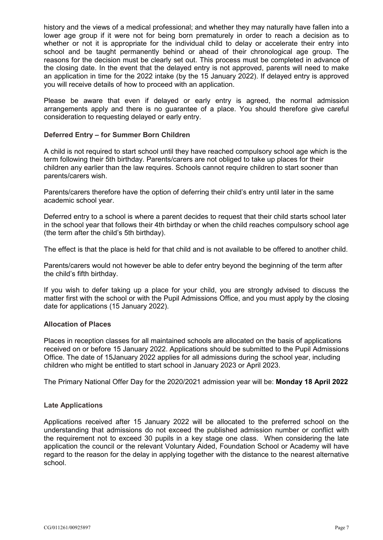history and the views of a medical professional; and whether they may naturally have fallen into a lower age group if it were not for being born prematurely in order to reach a decision as to whether or not it is appropriate for the individual child to delay or accelerate their entry into school and be taught permanently behind or ahead of their chronological age group. The reasons for the decision must be clearly set out. This process must be completed in advance of the closing date. In the event that the delayed entry is not approved, parents will need to make an application in time for the 2022 intake (by the 15 January 2022). If delayed entry is approved you will receive details of how to proceed with an application.

 Please be aware that even if delayed or early entry is agreed, the normal admission arrangements apply and there is no guarantee of a place. You should therefore give careful consideration to requesting delayed or early entry.

### **Deferred Entry – for Summer Born Children**

A child is not required to start school until they have reached compulsory school age which is the term following their 5th birthday. Parents/carers are not obliged to take up places for their children any earlier than the law requires. Schools cannot require children to start sooner than parents/carers wish.

Parents/carers therefore have the option of deferring their child's entry until later in the same academic school year.

Deferred entry to a school is where a parent decides to request that their child starts school later in the school year that follows their 4th birthday or when the child reaches compulsory school age (the term after the child's 5th birthday).

The effect is that the place is held for that child and is not available to be offered to another child.

Parents/carers would not however be able to defer entry beyond the beginning of the term after the child's fifth birthday.

 matter first with the school or with the Pupil Admissions Office, and you must apply by the closing If you wish to defer taking up a place for your child, you are strongly advised to discuss the date for applications (15 January 2022).

## **Allocation of Places**

 Office. The date of 15January 2022 applies for all admissions during the school year, including Places in reception classes for all maintained schools are allocated on the basis of applications received on or before 15 January 2022. Applications should be submitted to the Pupil Admissions children who might be entitled to start school in January 2023 or April 2023.

The Primary National Offer Day for the 2020/2021 admission year will be: **Monday 18 April 2022** 

## **Late Applications**

 understanding that admissions do not exceed the published admission number or conflict with application the council or the relevant Voluntary Aided, Foundation School or Academy will have regard to the reason for the delay in applying together with the distance to the nearest alternative Applications received after 15 January 2022 will be allocated to the preferred school on the the requirement not to exceed 30 pupils in a key stage one class. When considering the late school.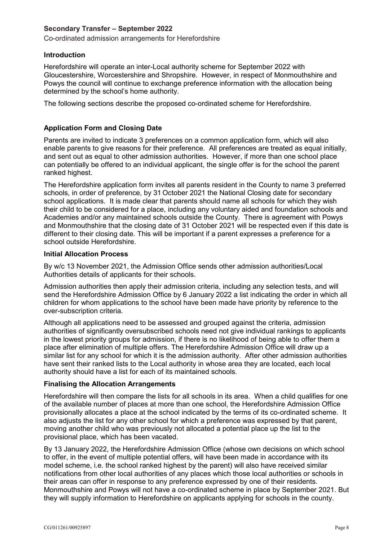## **Secondary Transfer – September 2022**

Co-ordinated admission arrangements for Herefordshire

## **Introduction**

Herefordshire will operate an inter-Local authority scheme for September 2022 with Gloucestershire, Worcestershire and Shropshire. However, in respect of Monmouthshire and Powys the council will continue to exchange preference information with the allocation being determined by the school's home authority.

The following sections describe the proposed co-ordinated scheme for Herefordshire.

# **Application Form and Closing Date**

Parents are invited to indicate 3 preferences on a common application form, which will also enable parents to give reasons for their preference. All preferences are treated as equal initially, and sent out as equal to other admission authorities. However, if more than one school place can potentially be offered to an individual applicant, the single offer is for the school the parent ranked highest.

The Herefordshire application form invites all parents resident in the County to name 3 preferred schools, in order of preference, by 31 October 2021 the National Closing date for secondary school applications. It is made clear that parents should name all schools for which they wish their child to be considered for a place, including any voluntary aided and foundation schools and Academies and/or any maintained schools outside the County. There is agreement with Powys and Monmouthshire that the closing date of 31 October 2021 will be respected even if this date is different to their closing date. This will be important if a parent expresses a preference for a school outside Herefordshire.

## **Initial Allocation Process**

By w/c 13 November 2021, the Admission Office sends other admission authorities/Local Authorities details of applicants for their schools.

Admission authorities then apply their admission criteria, including any selection tests, and will send the Herefordshire Admission Office by 6 January 2022 a list indicating the order in which all children for whom applications to the school have been made have priority by reference to the over-subscription criteria.

Although all applications need to be assessed and grouped against the criteria, admission authorities of significantly oversubscribed schools need not give individual rankings to applicants in the lowest priority groups for admission, if there is no likelihood of being able to offer them a place after elimination of multiple offers. The Herefordshire Admission Office will draw up a similar list for any school for which it is the admission authority. After other admission authorities have sent their ranked lists to the Local authority in whose area they are located, each local authority should have a list for each of its maintained schools.

## **Finalising the Allocation Arrangements**

Herefordshire will then compare the lists for all schools in its area. When a child qualifies for one of the available number of places at more than one school, the Herefordshire Admission Office provisionally allocates a place at the school indicated by the terms of its co-ordinated scheme. It also adjusts the list for any other school for which a preference was expressed by that parent, moving another child who was previously not allocated a potential place up the list to the provisional place, which has been vacated.

By 13 January 2022, the Herefordshire Admission Office (whose own decisions on which school to offer, in the event of multiple potential offers, will have been made in accordance with its model scheme, i.e. the school ranked highest by the parent) will also have received similar notifications from other local authorities of any places which those local authorities or schools in their areas can offer in response to any preference expressed by one of their residents. Monmouthshire and Powys will not have a co-ordinated scheme in place by September 2021. But they will supply information to Herefordshire on applicants applying for schools in the county.